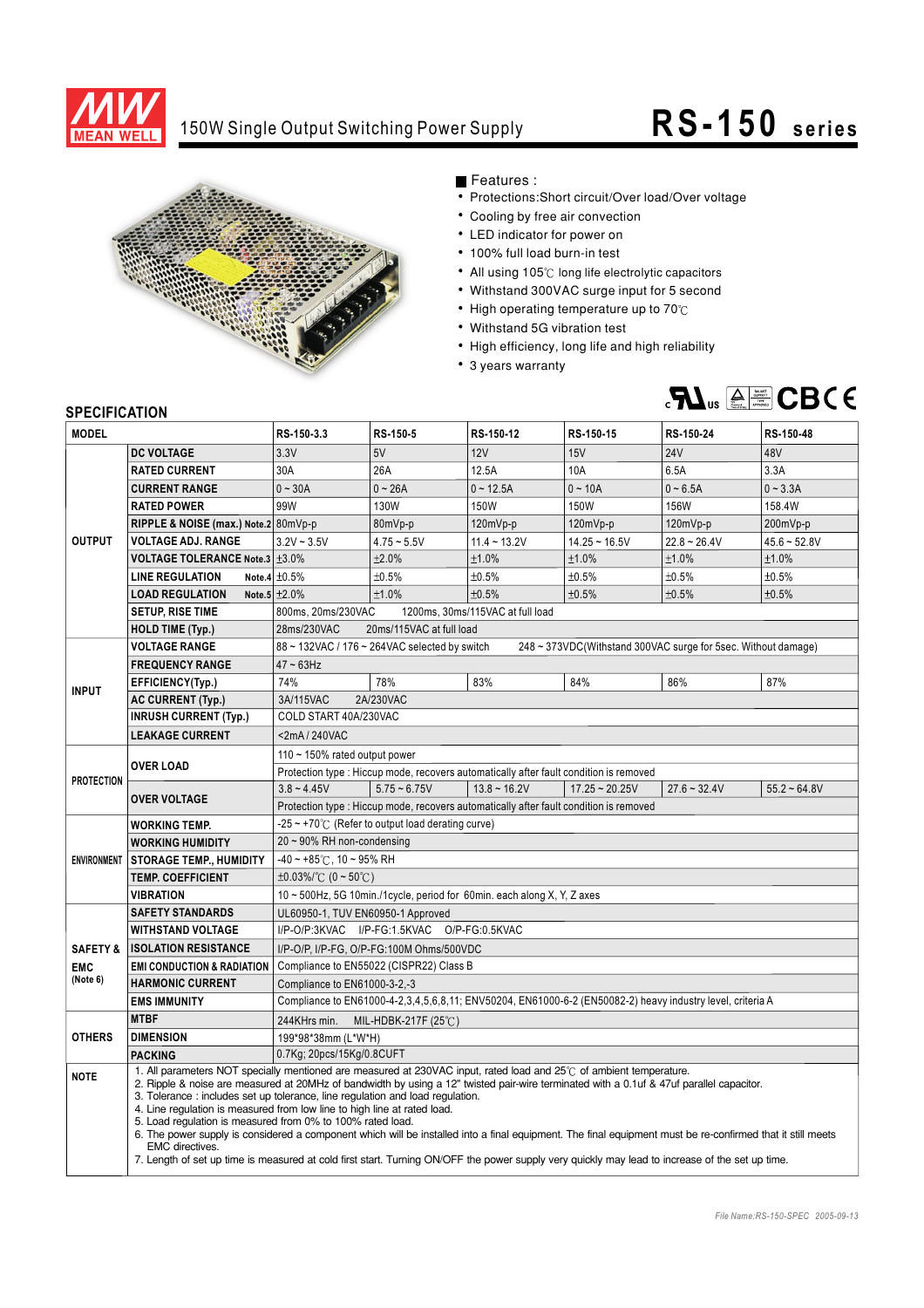

## 150W Single Output Switching Power Supply **RS-150** series



Features :

- Protections: Short circuit/Over load/Over voltage
- Cooling by free air convection
- LED indicator for power on
- 100% full load burn-in test
- All using 105°C long life electrolytic capacitors
- Withstand 300VAC surge input for 5 second
- $\bullet$  High operating temperature up to 70 $\degree$ C
- Withstand 5G vibration test
- High efficiency, long life and high reliability
- 3 years warranty



## **SPECIFICATION**

| JE LUII IUMI IUN<br><b>MODEL</b>                               |                                                                                                                                                                                                                                                                                                                                                                                                                                                                                                                                                                                                                                                                                                                                                                                                                                       | RS-150-3.3                                                                                                     | RS-150-5       | RS-150-12         | RS-150-15           | RS-150-24      | RS-150-48      |
|----------------------------------------------------------------|---------------------------------------------------------------------------------------------------------------------------------------------------------------------------------------------------------------------------------------------------------------------------------------------------------------------------------------------------------------------------------------------------------------------------------------------------------------------------------------------------------------------------------------------------------------------------------------------------------------------------------------------------------------------------------------------------------------------------------------------------------------------------------------------------------------------------------------|----------------------------------------------------------------------------------------------------------------|----------------|-------------------|---------------------|----------------|----------------|
|                                                                | <b>DC VOLTAGE</b>                                                                                                                                                                                                                                                                                                                                                                                                                                                                                                                                                                                                                                                                                                                                                                                                                     | 3.3V                                                                                                           | 5V             | 12V               | 15V                 | <b>24V</b>     | 48V            |
| <b>OUTPUT</b>                                                  | <b>RATED CURRENT</b>                                                                                                                                                                                                                                                                                                                                                                                                                                                                                                                                                                                                                                                                                                                                                                                                                  | 30A                                                                                                            | 26A            | 12.5A             | 10A                 | 6.5A           | 3.3A           |
|                                                                | <b>CURRENT RANGE</b>                                                                                                                                                                                                                                                                                                                                                                                                                                                                                                                                                                                                                                                                                                                                                                                                                  | $0 - 30A$                                                                                                      | $0 - 26A$      | $0 - 12.5A$       | $0 - 10A$           | $0 - 6.5A$     | $0 - 3.3A$     |
|                                                                | <b>RATED POWER</b>                                                                                                                                                                                                                                                                                                                                                                                                                                                                                                                                                                                                                                                                                                                                                                                                                    | 99W                                                                                                            | 130W           | <b>150W</b>       | 150W                | 156W           | 158.4W         |
|                                                                | RIPPLE & NOISE (max.) Note.2 80mVp-p                                                                                                                                                                                                                                                                                                                                                                                                                                                                                                                                                                                                                                                                                                                                                                                                  |                                                                                                                | 80mVp-p        | 120mVp-p          | 120mVp-p            | 120mVp-p       | 200mVp-p       |
|                                                                | <b>VOLTAGE ADJ. RANGE</b>                                                                                                                                                                                                                                                                                                                                                                                                                                                                                                                                                                                                                                                                                                                                                                                                             | $3.2V - 3.5V$                                                                                                  | $4.75 - 5.5V$  | $11.4 - 13.2V$    | $14.25 - 16.5V$     | $22.8 - 26.4V$ | $45.6 - 52.8V$ |
|                                                                | <b>VOLTAGE TOLERANCE Note.3 <math>\pm</math>3.0%</b>                                                                                                                                                                                                                                                                                                                                                                                                                                                                                                                                                                                                                                                                                                                                                                                  |                                                                                                                | ±2.0%          | ±1.0%             | ±1.0%               | ±1.0%          | ±1.0%          |
|                                                                | <b>LINE REGULATION</b>                                                                                                                                                                                                                                                                                                                                                                                                                                                                                                                                                                                                                                                                                                                                                                                                                | Note.4 $\pm 0.5\%$                                                                                             | ±0.5%          | ±0.5%             | ±0.5%               | ±0.5%          | ±0.5%          |
|                                                                | <b>LOAD REGULATION</b>                                                                                                                                                                                                                                                                                                                                                                                                                                                                                                                                                                                                                                                                                                                                                                                                                | Note.5 $\pm 2.0\%$                                                                                             | ±1.0%          | ±0.5%             | ±0.5%               | ±0.5%          | ±0.5%          |
|                                                                | <b>SETUP, RISE TIME</b>                                                                                                                                                                                                                                                                                                                                                                                                                                                                                                                                                                                                                                                                                                                                                                                                               | 800ms, 20ms/230VAC<br>1200ms, 30ms/115VAC at full load                                                         |                |                   |                     |                |                |
|                                                                | <b>HOLD TIME (Typ.)</b>                                                                                                                                                                                                                                                                                                                                                                                                                                                                                                                                                                                                                                                                                                                                                                                                               | 28ms/230VAC<br>20ms/115VAC at full load                                                                        |                |                   |                     |                |                |
| <b>INPUT</b>                                                   | <b>VOLTAGE RANGE</b>                                                                                                                                                                                                                                                                                                                                                                                                                                                                                                                                                                                                                                                                                                                                                                                                                  | 88 ~ 132VAC / 176 ~ 264VAC selected by switch<br>248 ~ 373VDC(Withstand 300VAC surge for 5sec. Without damage) |                |                   |                     |                |                |
|                                                                | <b>FREQUENCY RANGE</b>                                                                                                                                                                                                                                                                                                                                                                                                                                                                                                                                                                                                                                                                                                                                                                                                                | $47 \sim 63$ Hz                                                                                                |                |                   |                     |                |                |
|                                                                | EFFICIENCY(Typ.)                                                                                                                                                                                                                                                                                                                                                                                                                                                                                                                                                                                                                                                                                                                                                                                                                      | 74%                                                                                                            | 78%            | 83%               | 84%                 | 86%            | 87%            |
|                                                                | <b>AC CURRENT (Typ.)</b>                                                                                                                                                                                                                                                                                                                                                                                                                                                                                                                                                                                                                                                                                                                                                                                                              | 3A/115VAC<br>2A/230VAC                                                                                         |                |                   |                     |                |                |
|                                                                | <b>INRUSH CURRENT (Typ.)</b>                                                                                                                                                                                                                                                                                                                                                                                                                                                                                                                                                                                                                                                                                                                                                                                                          | COLD START 40A/230VAC                                                                                          |                |                   |                     |                |                |
|                                                                | <b>LEAKAGE CURRENT</b>                                                                                                                                                                                                                                                                                                                                                                                                                                                                                                                                                                                                                                                                                                                                                                                                                | <2mA/240VAC                                                                                                    |                |                   |                     |                |                |
| <b>PROTECTION</b>                                              | <b>OVER LOAD</b>                                                                                                                                                                                                                                                                                                                                                                                                                                                                                                                                                                                                                                                                                                                                                                                                                      | 110 ~ 150% rated output power                                                                                  |                |                   |                     |                |                |
|                                                                |                                                                                                                                                                                                                                                                                                                                                                                                                                                                                                                                                                                                                                                                                                                                                                                                                                       | Protection type : Hiccup mode, recovers automatically after fault condition is removed                         |                |                   |                     |                |                |
|                                                                | <b>OVER VOLTAGE</b>                                                                                                                                                                                                                                                                                                                                                                                                                                                                                                                                                                                                                                                                                                                                                                                                                   | $3.8 - 4.45V$                                                                                                  | $5.75 - 6.75V$ | $13.8 \sim 16.2V$ | $17.25 \div 20.25V$ | $27.6 - 32.4V$ | $55.2 - 64.8V$ |
|                                                                |                                                                                                                                                                                                                                                                                                                                                                                                                                                                                                                                                                                                                                                                                                                                                                                                                                       | Protection type : Hiccup mode, recovers automatically after fault condition is removed                         |                |                   |                     |                |                |
| <b>ENVIRONMENT</b>                                             | <b>WORKING TEMP.</b>                                                                                                                                                                                                                                                                                                                                                                                                                                                                                                                                                                                                                                                                                                                                                                                                                  | $-25 \sim +70^{\circ}$ (Refer to output load derating curve)                                                   |                |                   |                     |                |                |
|                                                                | <b>WORKING HUMIDITY</b>                                                                                                                                                                                                                                                                                                                                                                                                                                                                                                                                                                                                                                                                                                                                                                                                               | $20 \sim 90\%$ RH non-condensing                                                                               |                |                   |                     |                |                |
|                                                                | <b>STORAGE TEMP., HUMIDITY</b>                                                                                                                                                                                                                                                                                                                                                                                                                                                                                                                                                                                                                                                                                                                                                                                                        | $-40 \sim +85^{\circ}$ C, 10 ~ 95% RH                                                                          |                |                   |                     |                |                |
|                                                                | <b>TEMP. COEFFICIENT</b>                                                                                                                                                                                                                                                                                                                                                                                                                                                                                                                                                                                                                                                                                                                                                                                                              | $\pm 0.03\%$ (0 ~ 50°C)                                                                                        |                |                   |                     |                |                |
|                                                                | VIBRATION                                                                                                                                                                                                                                                                                                                                                                                                                                                                                                                                                                                                                                                                                                                                                                                                                             | 10 ~ 500Hz, 5G 10min./1cycle, period for 60min. each along X, Y, Z axes                                        |                |                   |                     |                |                |
| <b>SAFETY &amp;</b><br><b>EMC</b><br>(Note 6)<br><b>OTHERS</b> | <b>SAFETY STANDARDS</b>                                                                                                                                                                                                                                                                                                                                                                                                                                                                                                                                                                                                                                                                                                                                                                                                               | UL60950-1, TUV EN60950-1 Approved                                                                              |                |                   |                     |                |                |
|                                                                | <b>WITHSTAND VOLTAGE</b>                                                                                                                                                                                                                                                                                                                                                                                                                                                                                                                                                                                                                                                                                                                                                                                                              | I/P-O/P:3KVAC I/P-FG:1.5KVAC O/P-FG:0.5KVAC                                                                    |                |                   |                     |                |                |
|                                                                | <b>ISOLATION RESISTANCE</b>                                                                                                                                                                                                                                                                                                                                                                                                                                                                                                                                                                                                                                                                                                                                                                                                           | I/P-O/P, I/P-FG, O/P-FG:100M Ohms/500VDC                                                                       |                |                   |                     |                |                |
|                                                                | <b>EMI CONDUCTION &amp; RADIATION</b>                                                                                                                                                                                                                                                                                                                                                                                                                                                                                                                                                                                                                                                                                                                                                                                                 | Compliance to EN55022 (CISPR22) Class B                                                                        |                |                   |                     |                |                |
|                                                                | <b>HARMONIC CURRENT</b>                                                                                                                                                                                                                                                                                                                                                                                                                                                                                                                                                                                                                                                                                                                                                                                                               | Compliance to EN61000-3-2,-3                                                                                   |                |                   |                     |                |                |
|                                                                | <b>EMS IMMUNITY</b>                                                                                                                                                                                                                                                                                                                                                                                                                                                                                                                                                                                                                                                                                                                                                                                                                   | Compliance to EN61000-4-2,3,4,5,6,8,11; ENV50204, EN61000-6-2 (EN50082-2) heavy industry level, criteria A     |                |                   |                     |                |                |
|                                                                | <b>MTBF</b>                                                                                                                                                                                                                                                                                                                                                                                                                                                                                                                                                                                                                                                                                                                                                                                                                           | 244KHrs min.<br>MIL-HDBK-217F (25℃)                                                                            |                |                   |                     |                |                |
|                                                                | <b>DIMENSION</b>                                                                                                                                                                                                                                                                                                                                                                                                                                                                                                                                                                                                                                                                                                                                                                                                                      | 199*98*38mm (L*W*H)                                                                                            |                |                   |                     |                |                |
|                                                                | <b>PACKING</b>                                                                                                                                                                                                                                                                                                                                                                                                                                                                                                                                                                                                                                                                                                                                                                                                                        | 0.7Kg; 20pcs/15Kg/0.8CUFT                                                                                      |                |                   |                     |                |                |
| <b>NOTE</b>                                                    | 1. All parameters NOT specially mentioned are measured at 230VAC input, rated load and 25°C of ambient temperature.<br>2. Ripple & noise are measured at 20MHz of bandwidth by using a 12" twisted pair-wire terminated with a 0.1uf & 47uf parallel capacitor.<br>3. Tolerance: includes set up tolerance, line regulation and load regulation.<br>4. Line regulation is measured from low line to high line at rated load.<br>5. Load regulation is measured from 0% to 100% rated load.<br>6. The power supply is considered a component which will be installed into a final equipment. The final equipment must be re-confirmed that it still meets<br><b>EMC</b> directives.<br>7. Length of set up time is measured at cold first start. Turning ON/OFF the power supply very quickly may lead to increase of the set up time. |                                                                                                                |                |                   |                     |                |                |